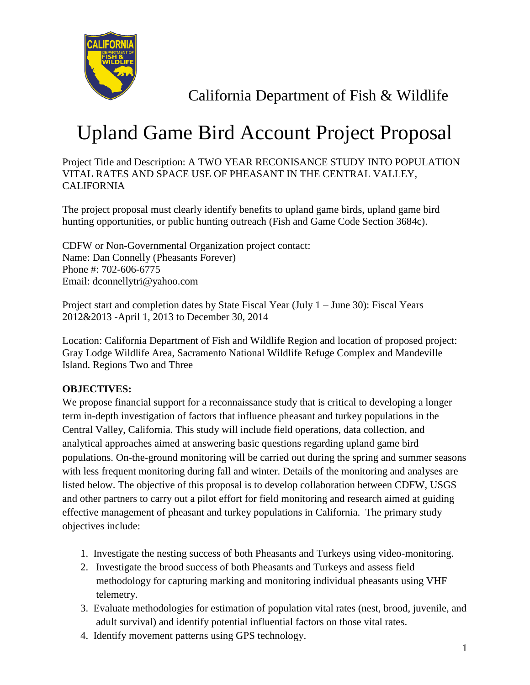

California Department of Fish & Wildlife

## Upland Game Bird Account Project Proposal

Project Title and Description: A TWO YEAR RECONISANCE STUDY INTO POPULATION VITAL RATES AND SPACE USE OF PHEASANT IN THE CENTRAL VALLEY, **CALIFORNIA** 

The project proposal must clearly identify benefits to upland game birds, upland game bird hunting opportunities, or public hunting outreach (Fish and Game Code Section 3684c).

CDFW or Non-Governmental Organization project contact: Name: Dan Connelly (Pheasants Forever) Phone #: 702-606-6775 Email: dconnellytri@yahoo.com

Project start and completion dates by State Fiscal Year (July 1 – June 30): Fiscal Years 2012&2013 -April 1, 2013 to December 30, 2014

Location: California Department of Fish and Wildlife Region and location of proposed project: Gray Lodge Wildlife Area, Sacramento National Wildlife Refuge Complex and Mandeville Island. Regions Two and Three

## **OBJECTIVES:**

We propose financial support for a reconnaissance study that is critical to developing a longer term in-depth investigation of factors that influence pheasant and turkey populations in the Central Valley, California. This study will include field operations, data collection, and analytical approaches aimed at answering basic questions regarding upland game bird populations. On-the-ground monitoring will be carried out during the spring and summer seasons with less frequent monitoring during fall and winter. Details of the monitoring and analyses are listed below. The objective of this proposal is to develop collaboration between CDFW, USGS and other partners to carry out a pilot effort for field monitoring and research aimed at guiding effective management of pheasant and turkey populations in California. The primary study objectives include:

- 1. Investigate the nesting success of both Pheasants and Turkeys using video-monitoring.
- 2. Investigate the brood success of both Pheasants and Turkeys and assess field methodology for capturing marking and monitoring individual pheasants using VHF telemetry.
- 3. Evaluate methodologies for estimation of population vital rates (nest, brood, juvenile, and adult survival) and identify potential influential factors on those vital rates.
- 4. Identify movement patterns using GPS technology.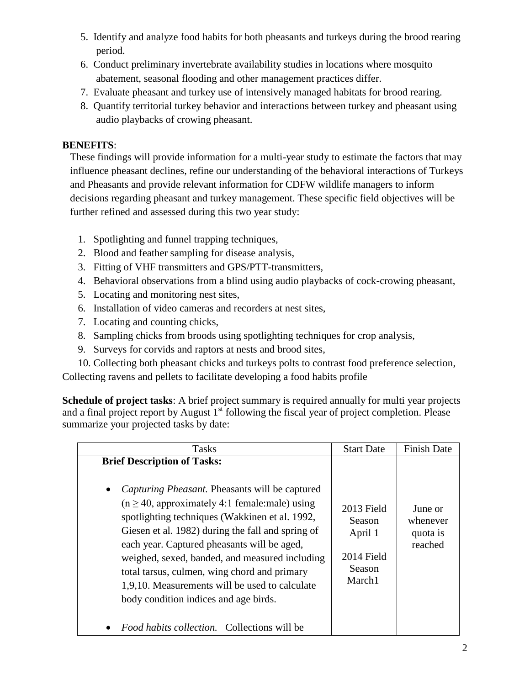- 5. Identify and analyze food habits for both pheasants and turkeys during the brood rearing period.
- 6. Conduct preliminary invertebrate availability studies in locations where mosquito abatement, seasonal flooding and other management practices differ.
- 7. Evaluate pheasant and turkey use of intensively managed habitats for brood rearing.
- 8. Quantify territorial turkey behavior and interactions between turkey and pheasant using audio playbacks of crowing pheasant.

## **BENEFITS**:

These findings will provide information for a multi-year study to estimate the factors that may influence pheasant declines, refine our understanding of the behavioral interactions of Turkeys and Pheasants and provide relevant information for CDFW wildlife managers to inform decisions regarding pheasant and turkey management. These specific field objectives will be further refined and assessed during this two year study:

- 1. Spotlighting and funnel trapping techniques,
- 2. Blood and feather sampling for disease analysis,
- 3. Fitting of VHF transmitters and GPS/PTT-transmitters,
- 4. Behavioral observations from a blind using audio playbacks of cock-crowing pheasant,
- 5. Locating and monitoring nest sites,
- 6. Installation of video cameras and recorders at nest sites,
- 7. Locating and counting chicks,
- 8. Sampling chicks from broods using spotlighting techniques for crop analysis,
- 9. Surveys for corvids and raptors at nests and brood sites,
- 10. Collecting both pheasant chicks and turkeys polts to contrast food preference selection, Collecting ravens and pellets to facilitate developing a food habits profile

**Schedule of project tasks**: A brief project summary is required annually for multi year projects and a final project report by August  $1<sup>st</sup>$  following the fiscal year of project completion. Please summarize your projected tasks by date:

| <b>Tasks</b>                                                                                                                                                                                                                                                                                                                                                                                                                                                                                                                                                            | <b>Start Date</b>                                                 | <b>Finish Date</b>                         |
|-------------------------------------------------------------------------------------------------------------------------------------------------------------------------------------------------------------------------------------------------------------------------------------------------------------------------------------------------------------------------------------------------------------------------------------------------------------------------------------------------------------------------------------------------------------------------|-------------------------------------------------------------------|--------------------------------------------|
| <b>Brief Description of Tasks:</b><br><i>Capturing Pheasant.</i> Pheasants will be captured<br>$\bullet$<br>$(n \ge 40$ , approximately 4:1 female:male) using<br>spotlighting techniques (Wakkinen et al. 1992,<br>Giesen et al. 1982) during the fall and spring of<br>each year. Captured pheasants will be aged,<br>weighed, sexed, banded, and measured including<br>total tarsus, culmen, wing chord and primary<br>1,9,10. Measurements will be used to calculate<br>body condition indices and age birds.<br><i>Food habits collection.</i> Collections will be | 2013 Field<br>Season<br>April 1<br>2014 Field<br>Season<br>March1 | June or<br>whenever<br>quota is<br>reached |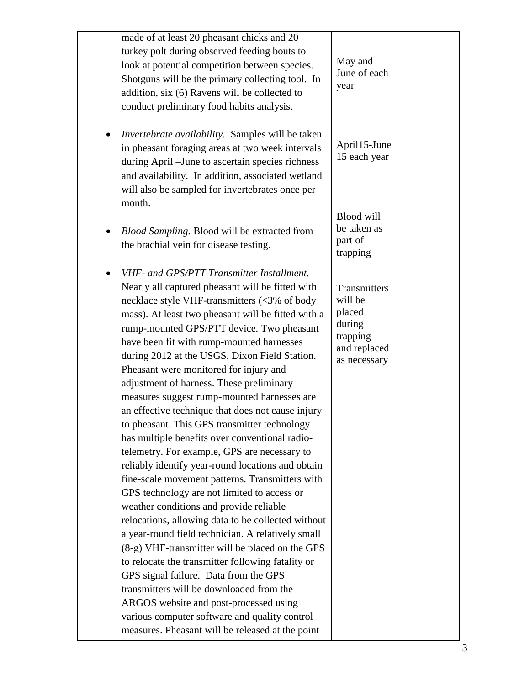| made of at least 20 pheasant chicks and 20<br>turkey polt during observed feeding bouts to<br>look at potential competition between species.<br>Shotguns will be the primary collecting tool. In<br>addition, six (6) Ravens will be collected to<br>conduct preliminary food habits analysis.                                                                                                                                                                                                                                                                                                                                                                                                                                                                                                                                                                                                                                                                                                                                                                                                                                                                                                                                                                                                                                                      | May and<br>June of each<br>year                                                         |  |
|-----------------------------------------------------------------------------------------------------------------------------------------------------------------------------------------------------------------------------------------------------------------------------------------------------------------------------------------------------------------------------------------------------------------------------------------------------------------------------------------------------------------------------------------------------------------------------------------------------------------------------------------------------------------------------------------------------------------------------------------------------------------------------------------------------------------------------------------------------------------------------------------------------------------------------------------------------------------------------------------------------------------------------------------------------------------------------------------------------------------------------------------------------------------------------------------------------------------------------------------------------------------------------------------------------------------------------------------------------|-----------------------------------------------------------------------------------------|--|
| <i>Invertebrate availability.</i> Samples will be taken<br>in pheasant foraging areas at two week intervals<br>during April - June to ascertain species richness<br>and availability. In addition, associated wetland<br>will also be sampled for invertebrates once per<br>month.                                                                                                                                                                                                                                                                                                                                                                                                                                                                                                                                                                                                                                                                                                                                                                                                                                                                                                                                                                                                                                                                  | April15-June<br>15 each year                                                            |  |
| Blood Sampling. Blood will be extracted from<br>the brachial vein for disease testing.                                                                                                                                                                                                                                                                                                                                                                                                                                                                                                                                                                                                                                                                                                                                                                                                                                                                                                                                                                                                                                                                                                                                                                                                                                                              | <b>Blood will</b><br>be taken as<br>part of<br>trapping                                 |  |
| VHF- and GPS/PTT Transmitter Installment.<br>Nearly all captured pheasant will be fitted with<br>necklace style VHF-transmitters (<3% of body<br>mass). At least two pheasant will be fitted with a<br>rump-mounted GPS/PTT device. Two pheasant<br>have been fit with rump-mounted harnesses<br>during 2012 at the USGS, Dixon Field Station.<br>Pheasant were monitored for injury and<br>adjustment of harness. These preliminary<br>measures suggest rump-mounted harnesses are<br>an effective technique that does not cause injury<br>to pheasant. This GPS transmitter technology<br>has multiple benefits over conventional radio-<br>telemetry. For example, GPS are necessary to<br>reliably identify year-round locations and obtain<br>fine-scale movement patterns. Transmitters with<br>GPS technology are not limited to access or<br>weather conditions and provide reliable<br>relocations, allowing data to be collected without<br>a year-round field technician. A relatively small<br>(8-g) VHF-transmitter will be placed on the GPS<br>to relocate the transmitter following fatality or<br>GPS signal failure. Data from the GPS<br>transmitters will be downloaded from the<br>ARGOS website and post-processed using<br>various computer software and quality control<br>measures. Pheasant will be released at the point | Transmitters<br>will be<br>placed<br>during<br>trapping<br>and replaced<br>as necessary |  |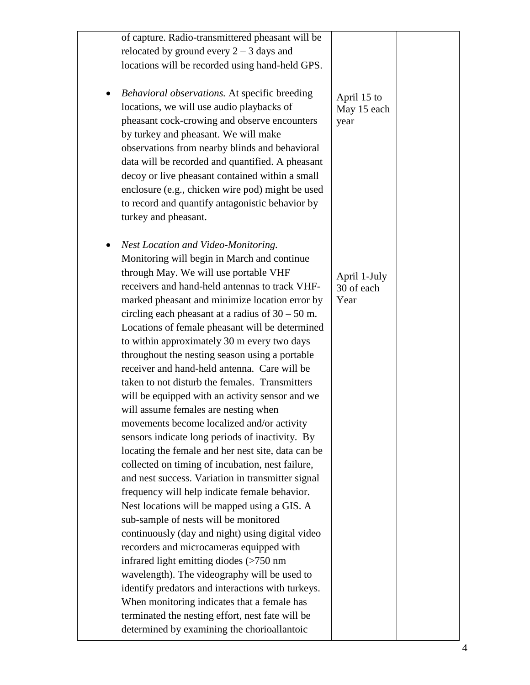| of capture. Radio-transmittered pheasant will be                                        |                            |  |
|-----------------------------------------------------------------------------------------|----------------------------|--|
| relocated by ground every $2 - 3$ days and                                              |                            |  |
| locations will be recorded using hand-held GPS.                                         |                            |  |
|                                                                                         |                            |  |
| Behavioral observations. At specific breeding                                           |                            |  |
| locations, we will use audio playbacks of                                               | April 15 to<br>May 15 each |  |
| pheasant cock-crowing and observe encounters                                            | year                       |  |
| by turkey and pheasant. We will make                                                    |                            |  |
| observations from nearby blinds and behavioral                                          |                            |  |
| data will be recorded and quantified. A pheasant                                        |                            |  |
| decoy or live pheasant contained within a small                                         |                            |  |
| enclosure (e.g., chicken wire pod) might be used                                        |                            |  |
| to record and quantify antagonistic behavior by                                         |                            |  |
| turkey and pheasant.                                                                    |                            |  |
|                                                                                         |                            |  |
|                                                                                         |                            |  |
| Nest Location and Video-Monitoring.<br>Monitoring will begin in March and continue      |                            |  |
|                                                                                         |                            |  |
| through May. We will use portable VHF<br>receivers and hand-held antennas to track VHF- | April 1-July               |  |
|                                                                                         | 30 of each                 |  |
| marked pheasant and minimize location error by                                          | Year                       |  |
| circling each pheasant at a radius of $30 - 50$ m.                                      |                            |  |
| Locations of female pheasant will be determined                                         |                            |  |
| to within approximately 30 m every two days                                             |                            |  |
| throughout the nesting season using a portable                                          |                            |  |
| receiver and hand-held antenna. Care will be                                            |                            |  |
| taken to not disturb the females. Transmitters                                          |                            |  |
| will be equipped with an activity sensor and we                                         |                            |  |
| will assume females are nesting when                                                    |                            |  |
| movements become localized and/or activity                                              |                            |  |
| sensors indicate long periods of inactivity. By                                         |                            |  |
| locating the female and her nest site, data can be                                      |                            |  |
| collected on timing of incubation, nest failure,                                        |                            |  |
| and nest success. Variation in transmitter signal                                       |                            |  |
| frequency will help indicate female behavior.                                           |                            |  |
| Nest locations will be mapped using a GIS. A                                            |                            |  |
| sub-sample of nests will be monitored                                                   |                            |  |
| continuously (day and night) using digital video                                        |                            |  |
| recorders and microcameras equipped with                                                |                            |  |
| infrared light emitting diodes (>750 nm                                                 |                            |  |
| wavelength). The videography will be used to                                            |                            |  |
| identify predators and interactions with turkeys.                                       |                            |  |
| When monitoring indicates that a female has                                             |                            |  |
| terminated the nesting effort, nest fate will be                                        |                            |  |
| determined by examining the chorioallantoic                                             |                            |  |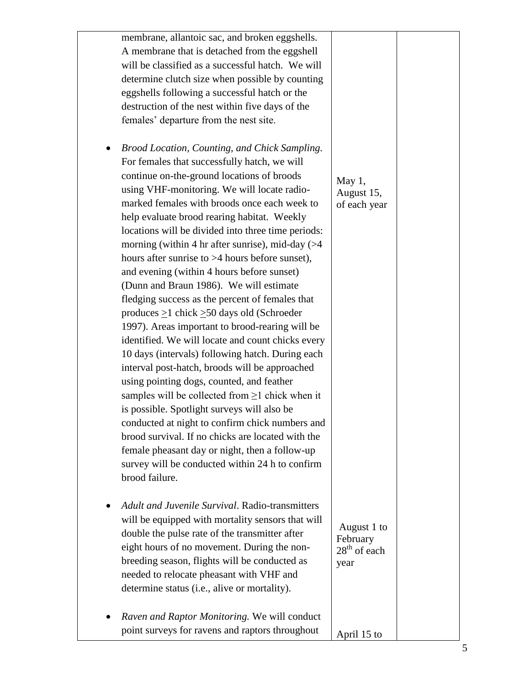| membrane, allantoic sac, and broken eggshells.         |                |  |
|--------------------------------------------------------|----------------|--|
| A membrane that is detached from the eggshell          |                |  |
| will be classified as a successful hatch. We will      |                |  |
| determine clutch size when possible by counting        |                |  |
| eggshells following a successful hatch or the          |                |  |
| destruction of the nest within five days of the        |                |  |
| females' departure from the nest site.                 |                |  |
|                                                        |                |  |
|                                                        |                |  |
| Brood Location, Counting, and Chick Sampling.          |                |  |
| For females that successfully hatch, we will           |                |  |
| continue on-the-ground locations of broods             | May $1,$       |  |
| using VHF-monitoring. We will locate radio-            | August 15,     |  |
| marked females with broods once each week to           | of each year   |  |
| help evaluate brood rearing habitat. Weekly            |                |  |
| locations will be divided into three time periods:     |                |  |
| morning (within 4 hr after sunrise), mid-day $($ >4    |                |  |
| hours after sunrise to $>4$ hours before sunset),      |                |  |
| and evening (within 4 hours before sunset)             |                |  |
| (Dunn and Braun 1986). We will estimate                |                |  |
| fledging success as the percent of females that        |                |  |
| produces $\geq$ 1 chick $\geq$ 50 days old (Schroeder  |                |  |
| 1997). Areas important to brood-rearing will be        |                |  |
| identified. We will locate and count chicks every      |                |  |
| 10 days (intervals) following hatch. During each       |                |  |
| interval post-hatch, broods will be approached         |                |  |
| using pointing dogs, counted, and feather              |                |  |
| samples will be collected from $\geq 1$ chick when it  |                |  |
| is possible. Spotlight surveys will also be            |                |  |
| conducted at night to confirm chick numbers and        |                |  |
| brood survival. If no chicks are located with the      |                |  |
| female pheasant day or night, then a follow-up         |                |  |
| survey will be conducted within 24 h to confirm        |                |  |
| brood failure.                                         |                |  |
|                                                        |                |  |
| <b>Adult and Juvenile Survival. Radio-transmitters</b> |                |  |
| will be equipped with mortality sensors that will      |                |  |
| double the pulse rate of the transmitter after         | August 1 to    |  |
| eight hours of no movement. During the non-            | February       |  |
| breeding season, flights will be conducted as          | $28th$ of each |  |
| needed to relocate pheasant with VHF and               | year           |  |
| determine status (i.e., alive or mortality).           |                |  |
|                                                        |                |  |
|                                                        |                |  |
| Raven and Raptor Monitoring. We will conduct           |                |  |
| point surveys for ravens and raptors throughout        | April 15 to    |  |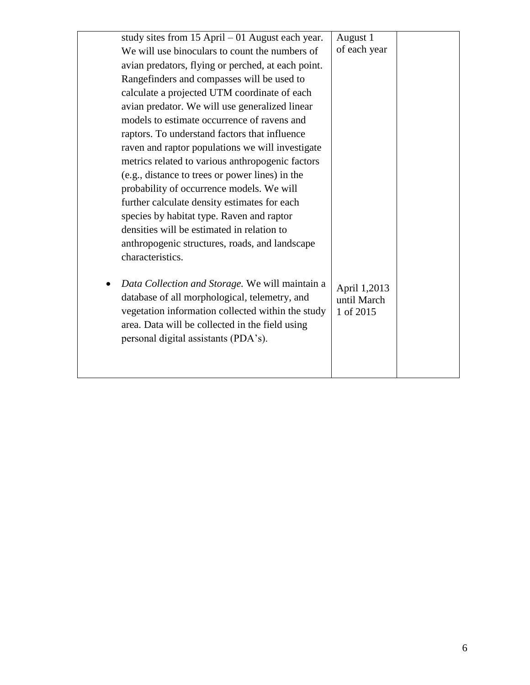| study sites from $15$ April $-01$ August each year. | August 1     |  |
|-----------------------------------------------------|--------------|--|
| We will use binoculars to count the numbers of      | of each year |  |
| avian predators, flying or perched, at each point.  |              |  |
| Rangefinders and compasses will be used to          |              |  |
| calculate a projected UTM coordinate of each        |              |  |
| avian predator. We will use generalized linear      |              |  |
| models to estimate occurrence of ravens and         |              |  |
| raptors. To understand factors that influence       |              |  |
| raven and raptor populations we will investigate    |              |  |
| metrics related to various anthropogenic factors    |              |  |
| (e.g., distance to trees or power lines) in the     |              |  |
| probability of occurrence models. We will           |              |  |
| further calculate density estimates for each        |              |  |
| species by habitat type. Raven and raptor           |              |  |
| densities will be estimated in relation to          |              |  |
| anthropogenic structures, roads, and landscape      |              |  |
| characteristics.                                    |              |  |
|                                                     |              |  |
| Data Collection and Storage. We will maintain a     | April 1,2013 |  |
| database of all morphological, telemetry, and       | until March  |  |
| vegetation information collected within the study   | 1 of 2015    |  |
| area. Data will be collected in the field using     |              |  |
| personal digital assistants (PDA's).                |              |  |
|                                                     |              |  |
|                                                     |              |  |
|                                                     |              |  |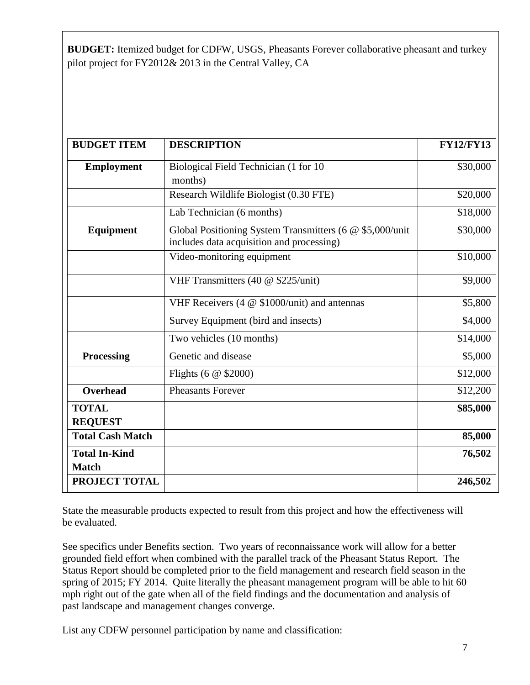**BUDGET:** Itemized budget for CDFW, USGS, Pheasants Forever collaborative pheasant and turkey pilot project for FY2012& 2013 in the Central Valley, CA

| <b>BUDGET ITEM</b>                   | <b>DESCRIPTION</b>                                                                                    | <b>FY12/FY13</b> |
|--------------------------------------|-------------------------------------------------------------------------------------------------------|------------------|
| <b>Employment</b>                    | Biological Field Technician (1 for 10<br>months)                                                      | \$30,000         |
|                                      | Research Wildlife Biologist (0.30 FTE)                                                                | \$20,000         |
|                                      | Lab Technician (6 months)                                                                             | \$18,000         |
| Equipment                            | Global Positioning System Transmitters (6 @ \$5,000/unit<br>includes data acquisition and processing) | \$30,000         |
|                                      | Video-monitoring equipment                                                                            | \$10,000         |
|                                      | VHF Transmitters (40 @ \$225/unit)                                                                    | \$9,000          |
|                                      | VHF Receivers (4 @ \$1000/unit) and antennas                                                          | \$5,800          |
|                                      | Survey Equipment (bird and insects)                                                                   | \$4,000          |
|                                      | Two vehicles (10 months)                                                                              | \$14,000         |
| <b>Processing</b>                    | Genetic and disease                                                                                   | \$5,000          |
|                                      | Flights (6 $@$ \$2000)                                                                                | \$12,000         |
| <b>Overhead</b>                      | <b>Pheasants Forever</b>                                                                              | \$12,200         |
| <b>TOTAL</b><br><b>REQUEST</b>       |                                                                                                       | \$85,000         |
| <b>Total Cash Match</b>              |                                                                                                       | 85,000           |
| <b>Total In-Kind</b><br><b>Match</b> |                                                                                                       | 76,502           |
| PROJECT TOTAL                        |                                                                                                       | 246,502          |

State the measurable products expected to result from this project and how the effectiveness will be evaluated.

See specifics under Benefits section. Two years of reconnaissance work will allow for a better grounded field effort when combined with the parallel track of the Pheasant Status Report. The Status Report should be completed prior to the field management and research field season in the spring of 2015; FY 2014. Quite literally the pheasant management program will be able to hit 60 mph right out of the gate when all of the field findings and the documentation and analysis of past landscape and management changes converge.

List any CDFW personnel participation by name and classification: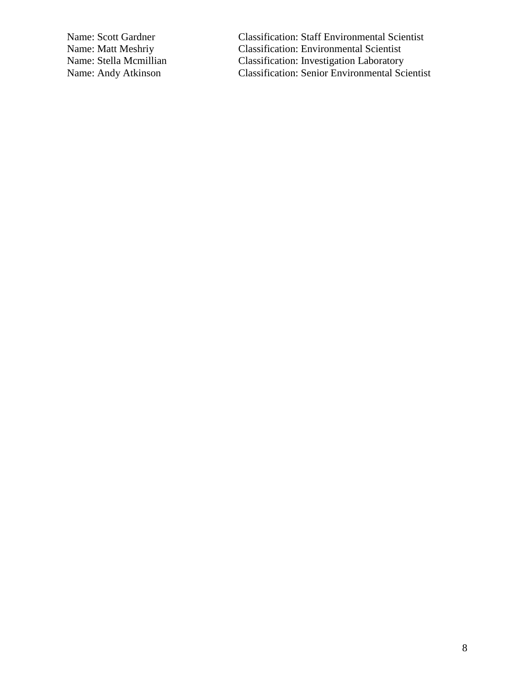Name: Scott Gardner Classification: Staff Environmental Scientist<br>Name: Matt Meshriy Classification: Environmental Scientist Name: Matt Meshriy Classification: Environmental Scientist<br>Name: Stella Mcmillian Classification: Investigation Laboratory Name: Stella Mcmillian Classification: Investigation Laboratory<br>Name: Andy Atkinson Classification: Senior Environmental Sci Classification: Senior Environmental Scientist